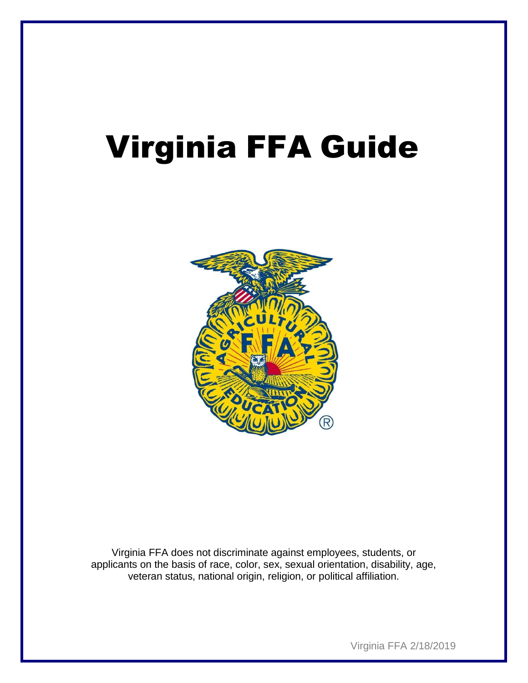# Virginia FFA Guide



Virginia FFA does not discriminate against employees, students, or applicants on the basis of race, color, sex, sexual orientation, disability, age, veteran status, national origin, religion, or political affiliation.

Virginia FFA 2/18/2019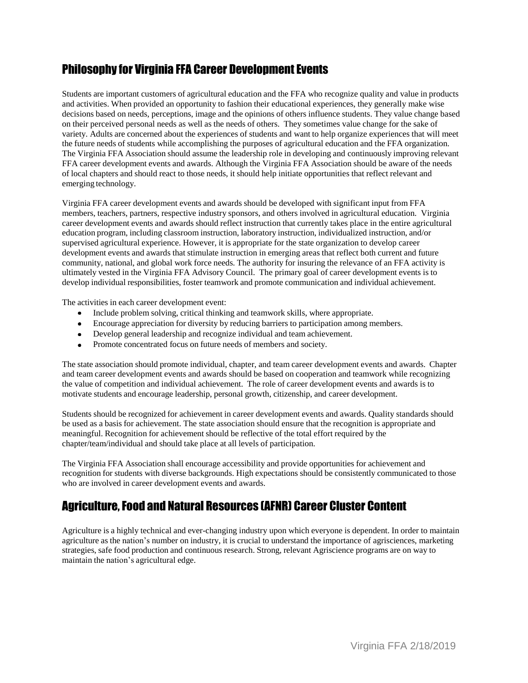## Philosophy for Virginia FFA Career Development Events

Students are important customers of agricultural education and the FFA who recognize quality and value in products and activities. When provided an opportunity to fashion their educational experiences, they generally make wise decisions based on needs, perceptions, image and the opinions of others influence students. They value change based on their perceived personal needs as well as the needs of others. They sometimes value change for the sake of variety. Adults are concerned about the experiences of students and want to help organize experiences that will meet the future needs of students while accomplishing the purposes of agricultural education and the FFA organization. The Virginia FFA Association should assume the leadership role in developing and continuously improving relevant FFA career development events and awards. Although the Virginia FFA Association should be aware of the needs of local chapters and should react to those needs, it should help initiate opportunities that reflect relevant and emerging technology.

Virginia FFA career development events and awards should be developed with significant input from FFA members, teachers, partners, respective industry sponsors, and others involved in agricultural education. Virginia career development events and awards should reflect instruction that currently takes place in the entire agricultural education program, including classroom instruction, laboratory instruction, individualized instruction, and/or supervised agricultural experience. However, it is appropriate for the state organization to develop career development events and awards that stimulate instruction in emerging areas that reflect both current and future community, national, and global work force needs. The authority for insuring the relevance of an FFA activity is ultimately vested in the Virginia FFA Advisory Council. The primary goal of career development events is to develop individual responsibilities, foster teamwork and promote communication and individual achievement.

The activities in each career development event:

- Include problem solving, critical thinking and teamwork skills, where appropriate.
- Encourage appreciation for diversity by reducing barriers to participation among members.
- Develop general leadership and recognize individual and team achievement.
- Promote concentrated focus on future needs of members and society.

The state association should promote individual, chapter, and team career development events and awards. Chapter and team career development events and awards should be based on cooperation and teamwork while recognizing the value of competition and individual achievement. The role of career development events and awards is to motivate students and encourage leadership, personal growth, citizenship, and career development.

Students should be recognized for achievement in career development events and awards. Quality standards should be used as a basis for achievement. The state association should ensure that the recognition is appropriate and meaningful. Recognition for achievement should be reflective of the total effort required by the chapter/team/individual and should take place at all levels of participation.

The Virginia FFA Association shall encourage accessibility and provide opportunities for achievement and recognition for students with diverse backgrounds. High expectations should be consistently communicated to those who are involved in career development events and awards.

## Agriculture,Food and Natural Resources (AFNR) Career Cluster Content

Agriculture is a highly technical and ever-changing industry upon which everyone is dependent. In order to maintain agriculture as the nation's number on industry, it is crucial to understand the importance of agrisciences, marketing strategies, safe food production and continuous research. Strong, relevant Agriscience programs are on way to maintain the nation's agricultural edge.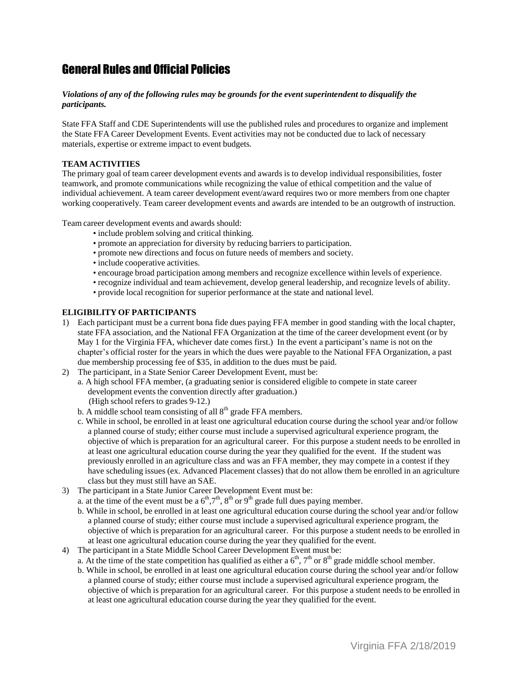## General Rules and Official Policies

#### *Violations of any of the following rules may be grounds for the event superintendent to disqualify the participants.*

State FFA Staff and CDE Superintendents will use the published rules and procedures to organize and implement the State FFA Career Development Events. Event activities may not be conducted due to lack of necessary materials, expertise or extreme impact to event budgets.

#### **TEAM ACTIVITIES**

The primary goal of team career development events and awards is to develop individual responsibilities, foster teamwork, and promote communications while recognizing the value of ethical competition and the value of individual achievement. A team career development event/award requires two or more members from one chapter working cooperatively. Team career development events and awards are intended to be an outgrowth of instruction.

Team career development events and awards should:

- include problem solving and critical thinking.
- promote an appreciation for diversity by reducing barriers to participation.
- promote new directions and focus on future needs of members and society.
- include cooperative activities.
- encourage broad participation among members and recognize excellence within levels of experience.
- recognize individual and team achievement, develop general leadership, and recognize levels of ability.
- provide local recognition for superior performance at the state and national level.

#### **ELIGIBILITY OF PARTICIPANTS**

- 1) Each participant must be a current bona fide dues paying FFA member in good standing with the local chapter, state FFA association, and the National FFA Organization at the time of the career development event (or by May 1 for the Virginia FFA, whichever date comes first.) In the event a participant's name is not on the chapter's official roster for the years in which the dues were payable to the National FFA Organization, a past due membership processing fee of \$35, in addition to the dues must be paid.
- 2) The participant, in a State Senior Career Development Event, must be:
	- a. A high school FFA member, (a graduating senior is considered eligible to compete in state career development events the convention directly after graduation.) (High school refers to grades 9-12.)
	- b. A middle school team consisting of all  $8<sup>th</sup>$  grade FFA members.
	- c. While in school, be enrolled in at least one agricultural education course during the school year and/or follow a planned course of study; either course must include a supervised agricultural experience program, the objective of which is preparation for an agricultural career. For this purpose a student needs to be enrolled in at least one agricultural education course during the year they qualified for the event. If the student was previously enrolled in an agriculture class and was an FFA member, they may compete in a contest if they have scheduling issues (ex. Advanced Placement classes) that do not allow them be enrolled in an agriculture class but they must still have an SAE.
- 3) The participant in a State Junior Career Development Event must be:
	- a. at the time of the event must be a  $6<sup>th</sup>,7<sup>th</sup>, 8<sup>th</sup>$  or  $9<sup>th</sup>$  grade full dues paying member.
	- b. While in school, be enrolled in at least one agricultural education course during the school year and/or follow a planned course of study; either course must include a supervised agricultural experience program, the objective of which is preparation for an agricultural career. For this purpose a student needs to be enrolled in at least one agricultural education course during the year they qualified for the event.
- 4) The participant in a State Middle School Career Development Event must be:
	- a. At the time of the state competition has qualified as either a  $6<sup>th</sup>$ ,  $7<sup>th</sup>$  or  $8<sup>th</sup>$  grade middle school member.
	- b. While in school, be enrolled in at least one agricultural education course during the school year and/or follow a planned course of study; either course must include a supervised agricultural experience program, the objective of which is preparation for an agricultural career. For this purpose a student needs to be enrolled in at least one agricultural education course during the year they qualified for the event.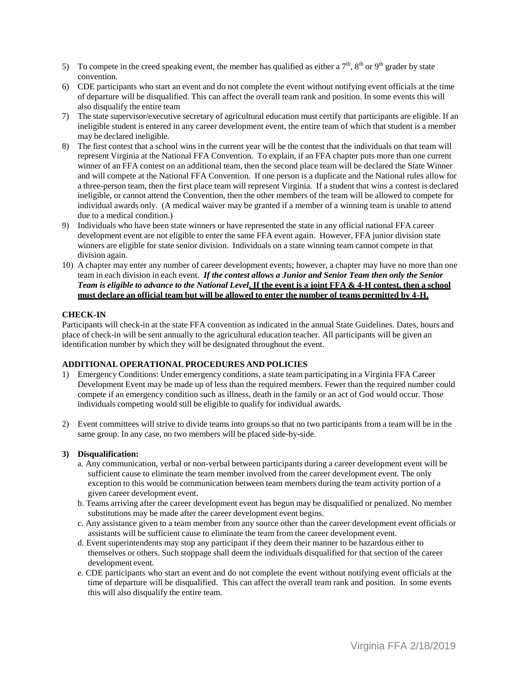- 5) To compete in the creed speaking event, the member has qualified as either a  $7<sup>th</sup>$ ,  $8<sup>th</sup>$  or  $9<sup>th</sup>$  grader by state convention.
- 6) CDE participants who start an event and do not complete the event without notifying event officials at the time of departure will be disqualified. This can affect the overall team rank and position. In some events this will also disqualify the entire team
- 7) The state supervisor/executive secretary of agricultural education must certify that participants are eligible. If an ineligible student is entered in any career development event, the entire team of which that student is a member may be declared ineligible.
- 8) The first contest that a school wins in the current year will be the contest that the individuals on that team will represent Virginia at the National FFA Convention. To explain, if an FFA chapter puts more than one current winner of an FFA contest on an additional team, then the second place team will be declared the State Winner and will compete at the National FFA Convention. If one person is a duplicate and the National rules allow for a three-person team, then the first place team will represent Virginia. If a student that wins a contest is declared ineligible, or cannot attend the Convention, then the other members of the team will be allowed to compete for individual awards only. (A medical waiver may be granted if a member of a winning team is unable to attend due to a medical condition.)
- 9) Individuals who have been state winners or have represented the state in any official national FFA career development event are not eligible to enter the same FFA event again. However, FFA junior division state winners are eligible for state senior division. Individuals on a state winning team cannot compete in that division again.
- 10) A chapter may enter any number of career development events; however, a chapter may have no more than one team in each division in each event. *If the contest allows a Junior and Senior Team then only the Senior* Team is eligible to advance to the National Level. If the event is a joint FFA & 4-H contest, then a school **must declare an official team but will be allowed to enter the number of teams permitted by 4-H.**

#### **CHECK-IN**

Participants will check-in at the state FFA convention as indicated in the annual State Guidelines. Dates, hours and place of check-in will be sent annually to the agricultural education teacher. All participants will be given an identification number by which they will be designated throughout the event.

#### **ADDITIONAL OPERATIONAL PROCEDURES AND POLICIES**

- 1) Emergency Conditions: Under emergency conditions, a state team participating in a Virginia FFA Career Development Event may be made up of less than the required members. Fewer than the required number could compete if an emergency condition such as illness, death in the family or an act of God would occur. Those individuals competing would still be eligible to qualify for individual awards.
- 2) Event committees will strive to divide teams into groups so that no two participants from a team will be in the same group. In any case, no two members will be placed side-by-side.

#### **3) Disqualification:**

- a. Any communication, verbal or non-verbal between participants during a career development event will be sufficient cause to eliminate the team member involved from the career development event. The only exception to this would be communication between team members during the team activity portion of a given career development event.
- b. Teams arriving after the career development event has begun may be disqualified or penalized. No member substitutions may be made after the career development event begins.
- c. Any assistance given to a team member from any source other than the career development event officials or assistants will be sufficient cause to eliminate the team from the career development event.
- d. Event superintendents may stop any participant if they deem their manner to be hazardous either to themselves or others. Such stoppage shall deem the individuals disqualified for that section of the career development event.
- e. CDE participants who start an event and do not complete the event without notifying event officials at the time of departure will be disqualified. This can affect the overall team rank and position. In some events this will also disqualify the entire team.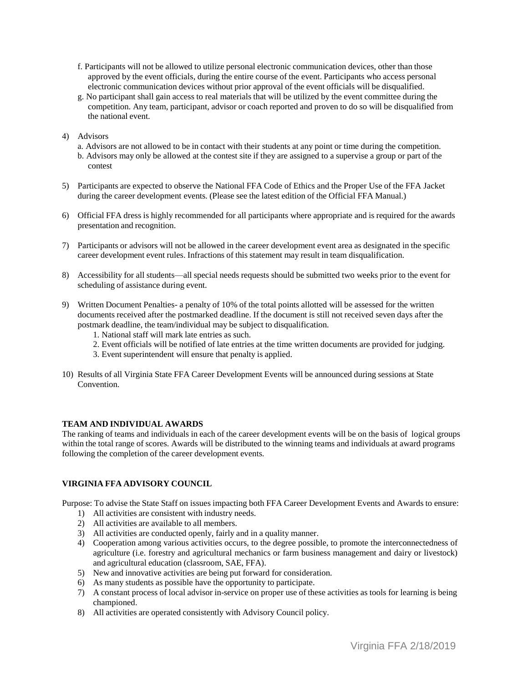- f. Participants will not be allowed to utilize personal electronic communication devices, other than those approved by the event officials, during the entire course of the event. Participants who access personal electronic communication devices without prior approval of the event officials will be disqualified.
- g. No participant shall gain access to real materials that will be utilized by the event committee during the competition. Any team, participant, advisor or coach reported and proven to do so will be disqualified from the national event.
- 4) Advisors
	- a. Advisors are not allowed to be in contact with their students at any point or time during the competition.
	- b. Advisors may only be allowed at the contest site if they are assigned to a supervise a group or part of the contest
- 5) Participants are expected to observe the National FFA Code of Ethics and the Proper Use of the FFA Jacket during the career development events. (Please see the latest edition of the Official FFA Manual.)
- 6) Official FFA dress is highly recommended for all participants where appropriate and is required for the awards presentation and recognition.
- 7) Participants or advisors will not be allowed in the career development event area as designated in the specific career development event rules. Infractions of this statement may result in team disqualification.
- 8) Accessibility for all students—all special needs requests should be submitted two weeks prior to the event for scheduling of assistance during event.
- 9) Written Document Penalties- a penalty of 10% of the total points allotted will be assessed for the written documents received after the postmarked deadline. If the document is still not received seven days after the postmark deadline, the team/individual may be subject to disqualification.
	- 1. National staff will mark late entries as such.
	- 2. Event officials will be notified of late entries at the time written documents are provided for judging.
	- 3. Event superintendent will ensure that penalty is applied.
- 10) Results of all Virginia State FFA Career Development Events will be announced during sessions at State Convention.

#### **TEAM AND INDIVIDUAL AWARDS**

The ranking of teams and individuals in each of the career development events will be on the basis of logical groups within the total range of scores. Awards will be distributed to the winning teams and individuals at award programs following the completion of the career development events.

#### **VIRGINIA FFA ADVISORY COUNCIL**

Purpose: To advise the State Staff on issues impacting both FFA Career Development Events and Awards to ensure:

- 1) All activities are consistent with industry needs.
- 2) All activities are available to all members.
- 3) All activities are conducted openly, fairly and in a quality manner.
- 4) Cooperation among various activities occurs, to the degree possible, to promote the interconnectedness of agriculture (i.e. forestry and agricultural mechanics or farm business management and dairy or livestock) and agricultural education (classroom, SAE, FFA).
- 5) New and innovative activities are being put forward for consideration.
- 6) As many students as possible have the opportunity to participate.
- 7) A constant process of local advisor in-service on proper use of these activities as tools for learning is being championed.
- 8) All activities are operated consistently with Advisory Council policy.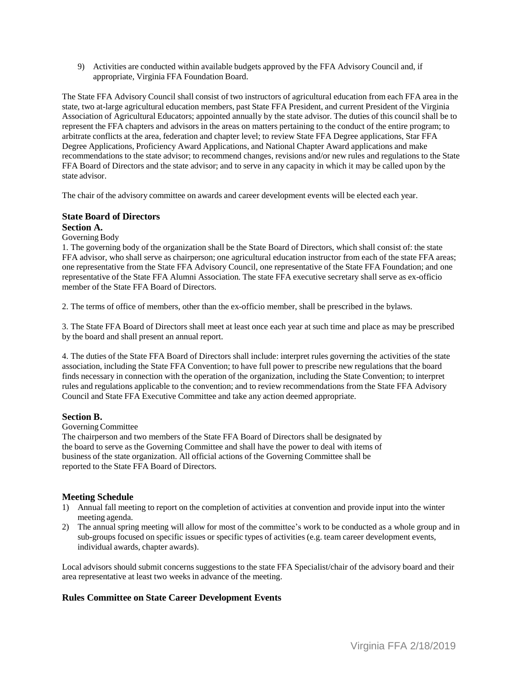9) Activities are conducted within available budgets approved by the FFA Advisory Council and, if appropriate, Virginia FFA Foundation Board.

The State FFA Advisory Council shall consist of two instructors of agricultural education from each FFA area in the state, two at-large agricultural education members, past State FFA President, and current President of the Virginia Association of Agricultural Educators; appointed annually by the state advisor. The duties of this council shall be to represent the FFA chapters and advisors in the areas on matters pertaining to the conduct of the entire program; to arbitrate conflicts at the area, federation and chapter level; to review State FFA Degree applications, Star FFA Degree Applications, Proficiency Award Applications, and National Chapter Award applications and make recommendations to the state advisor; to recommend changes, revisions and/or new rules and regulations to the State FFA Board of Directors and the state advisor; and to serve in any capacity in which it may be called upon by the state advisor.

The chair of the advisory committee on awards and career development events will be elected each year.

#### **State Board of Directors**

#### **Section A.**

#### Governing Body

1. The governing body of the organization shall be the State Board of Directors, which shall consist of: the state FFA advisor, who shall serve as chairperson; one agricultural education instructor from each of the state FFA areas; one representative from the State FFA Advisory Council, one representative of the State FFA Foundation; and one representative of the State FFA Alumni Association. The state FFA executive secretary shall serve as ex-officio member of the State FFA Board of Directors.

2. The terms of office of members, other than the ex-officio member, shall be prescribed in the bylaws.

3. The State FFA Board of Directors shall meet at least once each year at such time and place as may be prescribed by the board and shall present an annual report.

4. The duties of the State FFA Board of Directors shall include: interpret rules governing the activities of the state association, including the State FFA Convention; to have full power to prescribe new regulations that the board finds necessary in connection with the operation of the organization, including the State Convention; to interpret rules and regulations applicable to the convention; and to review recommendations from the State FFA Advisory Council and State FFA Executive Committee and take any action deemed appropriate.

#### **Section B.**

#### GoverningCommittee

The chairperson and two members of the State FFA Board of Directors shall be designated by the board to serve as the Governing Committee and shall have the power to deal with items of business of the state organization. All official actions of the Governing Committee shall be reported to the State FFA Board of Directors.

#### **Meeting Schedule**

- 1) Annual fall meeting to report on the completion of activities at convention and provide input into the winter meeting agenda.
- 2) The annual spring meeting will allow for most of the committee's work to be conducted as a whole group and in sub-groups focused on specific issues or specific types of activities (e.g. team career development events, individual awards, chapter awards).

Local advisors should submit concerns suggestions to the state FFA Specialist/chair of the advisory board and their area representative at least two weeks in advance of the meeting.

#### **Rules Committee on State Career Development Events**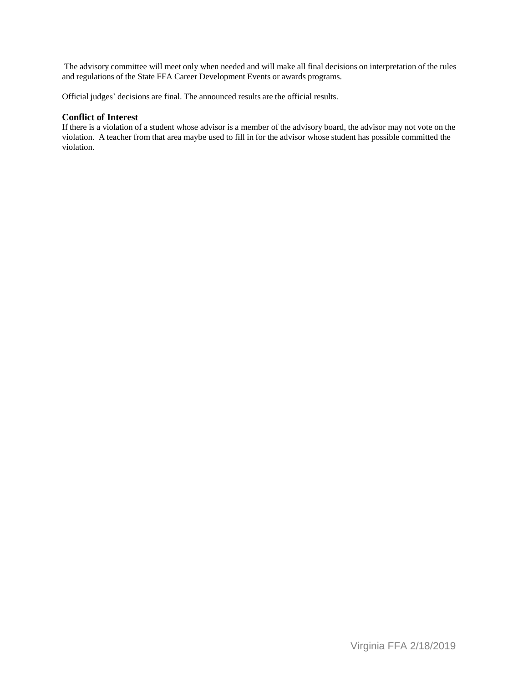The advisory committee will meet only when needed and will make all final decisions on interpretation of the rules and regulations of the State FFA Career Development Events or awards programs.

Official judges' decisions are final. The announced results are the official results.

#### **Conflict of Interest**

If there is a violation of a student whose advisor is a member of the advisory board, the advisor may not vote on the violation. A teacher from that area maybe used to fill in for the advisor whose student has possible committed the violation.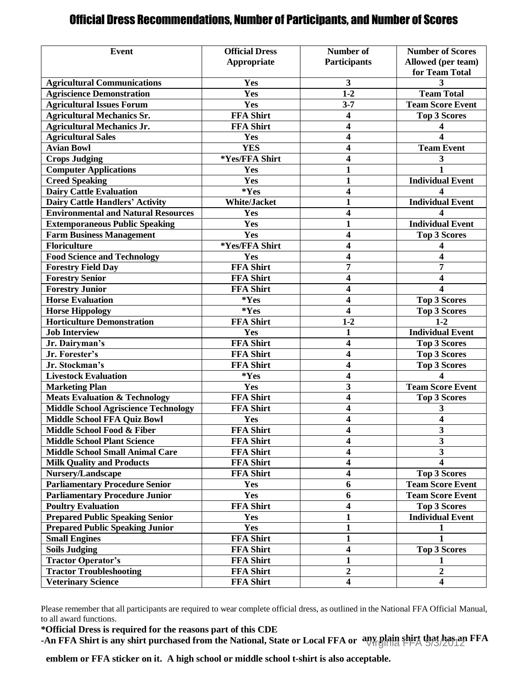## Official Dress Recommendations, Number of Participants, and Number of Scores

| <b>Event</b>                                | <b>Official Dress</b> | Number of               | <b>Number of Scores</b>      |
|---------------------------------------------|-----------------------|-------------------------|------------------------------|
|                                             | Appropriate           | <b>Participants</b>     | Allowed (per team)           |
|                                             |                       |                         | for Team Total               |
| <b>Agricultural Communications</b>          | Yes                   | 3                       | 3                            |
| <b>Agriscience Demonstration</b>            | Yes                   | $1-2$                   | <b>Team Total</b>            |
| <b>Agricultural Issues Forum</b>            | Yes                   | $3 - 7$                 | <b>Team Score Event</b>      |
| <b>Agricultural Mechanics Sr.</b>           | <b>FFA Shirt</b>      | 4                       | <b>Top 3 Scores</b>          |
| <b>Agricultural Mechanics Jr.</b>           | <b>FFA Shirt</b>      | $\overline{\mathbf{4}}$ | 4                            |
| <b>Agricultural Sales</b>                   | Yes                   | 4                       |                              |
| <b>Avian Bowl</b>                           | <b>YES</b>            | $\overline{\mathbf{4}}$ | <b>Team Event</b>            |
| <b>Crops Judging</b>                        | *Yes/FFA Shirt        | 4                       | 3                            |
| <b>Computer Applications</b>                | Yes                   | $\mathbf{1}$            | 1                            |
| <b>Creed Speaking</b>                       | Yes                   | 1                       | <b>Individual Event</b>      |
| <b>Dairy Cattle Evaluation</b>              | *Yes                  | 4                       |                              |
| <b>Dairy Cattle Handlers' Activity</b>      | <b>White/Jacket</b>   | $\mathbf{1}$            | <b>Individual Event</b>      |
| <b>Environmental and Natural Resources</b>  | Yes                   | 4                       | 4                            |
| <b>Extemporaneous Public Speaking</b>       | Yes                   | $\mathbf{1}$            | <b>Individual Event</b>      |
| <b>Farm Business Management</b>             | Yes                   | 4                       | <b>Top 3 Scores</b>          |
| Floriculture                                | *Yes/FFA Shirt        | $\overline{\mathbf{4}}$ | 4                            |
| <b>Food Science and Technology</b>          | Yes                   | $\overline{\mathbf{4}}$ | 4                            |
| <b>Forestry Field Day</b>                   | <b>FFA Shirt</b>      | 7                       | 7                            |
| <b>Forestry Senior</b>                      | <b>FFA Shirt</b>      | 4                       | 4                            |
| <b>Forestry Junior</b>                      | <b>FFA Shirt</b>      | 4                       | 4                            |
| <b>Horse Evaluation</b>                     | *Yes                  | 4                       | <b>Top 3 Scores</b>          |
|                                             | $*Yes$                | $\overline{\mathbf{4}}$ |                              |
| <b>Horse Hippology</b>                      | <b>FFA Shirt</b>      | $1-2$                   | <b>Top 3 Scores</b><br>$1-2$ |
| <b>Horticulture Demonstration</b>           |                       |                         |                              |
| <b>Job Interview</b>                        | Yes                   | 1                       | <b>Individual Event</b>      |
| Jr. Dairyman's                              | <b>FFA Shirt</b>      | $\overline{\mathbf{4}}$ | <b>Top 3 Scores</b>          |
| Jr. Forester's                              | <b>FFA Shirt</b>      | $\overline{\mathbf{4}}$ | <b>Top 3 Scores</b>          |
| Jr. Stockman's                              | <b>FFA Shirt</b>      | $\overline{\mathbf{4}}$ | <b>Top 3 Scores</b>          |
| <b>Livestock Evaluation</b>                 | *Yes                  | 4                       |                              |
| <b>Marketing Plan</b>                       | Yes                   | 3                       | <b>Team Score Event</b>      |
| <b>Meats Evaluation &amp; Technology</b>    | FFA Shirt             | 4                       | <b>Top 3 Scores</b>          |
| <b>Middle School Agriscience Technology</b> | <b>FFA Shirt</b>      | 4                       | 3                            |
| <b>Middle School FFA Quiz Bowl</b>          | Yes                   | $\overline{\mathbf{4}}$ | 4                            |
| Middle School Food & Fiber                  | FFA Shirt             | 4                       | $\overline{\mathbf{3}}$      |
| <b>Middle School Plant Science</b>          | <b>FFA Shirt</b>      | 4                       | 3                            |
| <b>Middle School Small Animal Care</b>      | <b>FFA Shirt</b>      | $\overline{\mathbf{4}}$ | $\overline{\mathbf{3}}$      |
| <b>Milk Quality and Products</b>            | <b>FFA Shirt</b>      | $\overline{\mathbf{4}}$ | $\overline{\mathbf{4}}$      |
| Nursery/Landscape                           | <b>FFA Shirt</b>      | $\overline{\mathbf{4}}$ | <b>Top 3 Scores</b>          |
| <b>Parliamentary Procedure Senior</b>       | Yes                   | 6                       | <b>Team Score Event</b>      |
| <b>Parliamentary Procedure Junior</b>       | Yes                   | 6                       | <b>Team Score Event</b>      |
| <b>Poultry Evaluation</b>                   | <b>FFA Shirt</b>      | $\overline{\mathbf{4}}$ | <b>Top 3 Scores</b>          |
| <b>Prepared Public Speaking Senior</b>      | Yes                   | 1                       | <b>Individual Event</b>      |
| <b>Prepared Public Speaking Junior</b>      | <b>Yes</b>            | $\mathbf{1}$            | 1                            |
| <b>Small Engines</b>                        | <b>FFA Shirt</b>      | $\mathbf{1}$            |                              |
| <b>Soils Judging</b>                        | <b>FFA Shirt</b>      | $\overline{\mathbf{4}}$ | <b>Top 3 Scores</b>          |
| <b>Tractor Operator's</b>                   | FFA Shirt             | $\mathbf{1}$            | 1                            |
| <b>Tractor Troubleshooting</b>              | FFA Shirt             | $\boldsymbol{2}$        | $\boldsymbol{2}$             |
| <b>Veterinary Science</b>                   | <b>FFA Shirt</b>      | $\overline{\mathbf{4}}$ | $\overline{\mathbf{4}}$      |

Please remember that all participants are required to wear complete official dress, as outlined in the National FFA Official Manual, to all award functions.

**\*Official Dress is required for the reasons part of this CDE**

-An FFA Shirt is any shirt purchased from the National, State or Local FFA or any plain shirt that has an FFA

**emblem or FFA sticker on it. A high school or middle school t-shirt is also acceptable.**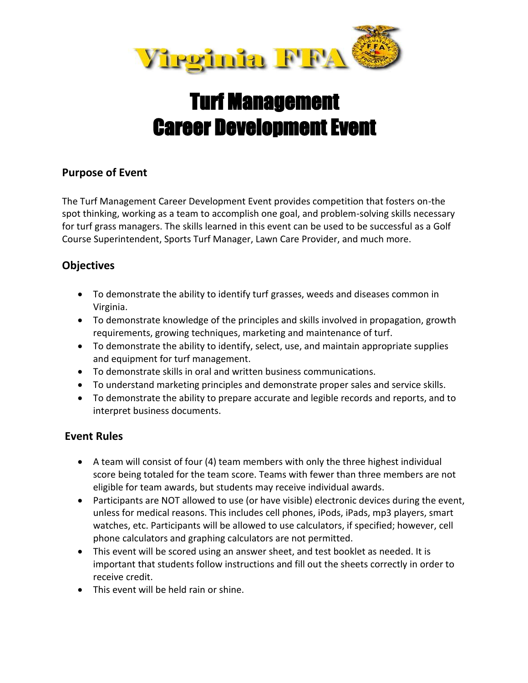

## Turf Management Career Development Event

## **Purpose of Event**

The Turf Management Career Development Event provides competition that fosters on-the spot thinking, working as a team to accomplish one goal, and problem-solving skills necessary for turf grass managers. The skills learned in this event can be used to be successful as a Golf Course Superintendent, Sports Turf Manager, Lawn Care Provider, and much more.

## **Objectives**

- To demonstrate the ability to identify turf grasses, weeds and diseases common in Virginia.
- To demonstrate knowledge of the principles and skills involved in propagation, growth requirements, growing techniques, marketing and maintenance of turf.
- To demonstrate the ability to identify, select, use, and maintain appropriate supplies and equipment for turf management.
- To demonstrate skills in oral and written business communications.
- To understand marketing principles and demonstrate proper sales and service skills.
- To demonstrate the ability to prepare accurate and legible records and reports, and to interpret business documents.

## **Event Rules**

- A team will consist of four (4) team members with only the three highest individual score being totaled for the team score. Teams with fewer than three members are not eligible for team awards, but students may receive individual awards.
- Participants are NOT allowed to use (or have visible) electronic devices during the event, unless for medical reasons. This includes cell phones, iPods, iPads, mp3 players, smart watches, etc. Participants will be allowed to use calculators, if specified; however, cell phone calculators and graphing calculators are not permitted.
- This event will be scored using an answer sheet, and test booklet as needed. It is important that students follow instructions and fill out the sheets correctly in order to receive credit.
- This event will be held rain or shine.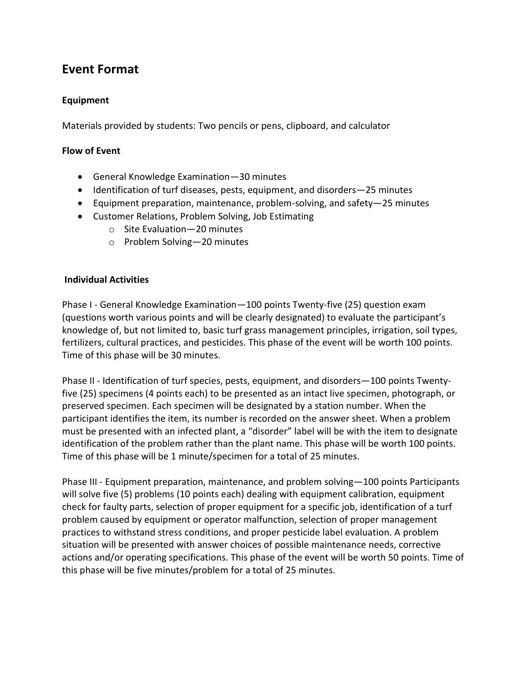## **Event Format**

#### **Equipment**

Materials provided by students: Two pencils or pens, clipboard, and calculator

#### **Flow of Event**

- General Knowledge Examination—30 minutes
- Identification of turf diseases, pests, equipment, and disorders–25 minutes
- Equipment preparation, maintenance, problem-solving, and safety—25 minutes
- Customer Relations, Problem Solving, Job Estimating
	- o Site Evaluation—20 minutes
	- o Problem Solving—20 minutes

#### **Individual Activities**

Phase I - General Knowledge Examination—100 points Twenty-five (25) question exam (questions worth various points and will be clearly designated) to evaluate the participant's knowledge of, but not limited to, basic turf grass management principles, irrigation, soil types, fertilizers, cultural practices, and pesticides. This phase of the event will be worth 100 points. Time of this phase will be 30 minutes.

Phase II - Identification of turf species, pests, equipment, and disorders—100 points Twentyfive (25) specimens (4 points each) to be presented as an intact live specimen, photograph, or preserved specimen. Each specimen will be designated by a station number. When the participant identifies the item, its number is recorded on the answer sheet. When a problem must be presented with an infected plant, a "disorder" label will be with the item to designate identification of the problem rather than the plant name. This phase will be worth 100 points. Time of this phase will be 1 minute/specimen for a total of 25 minutes.

Phase III - Equipment preparation, maintenance, and problem solving—100 points Participants will solve five (5) problems (10 points each) dealing with equipment calibration, equipment check for faulty parts, selection of proper equipment for a specific job, identification of a turf problem caused by equipment or operator malfunction, selection of proper management practices to withstand stress conditions, and proper pesticide label evaluation. A problem situation will be presented with answer choices of possible maintenance needs, corrective actions and/or operating specifications. This phase of the event will be worth 50 points. Time of this phase will be five minutes/problem for a total of 25 minutes.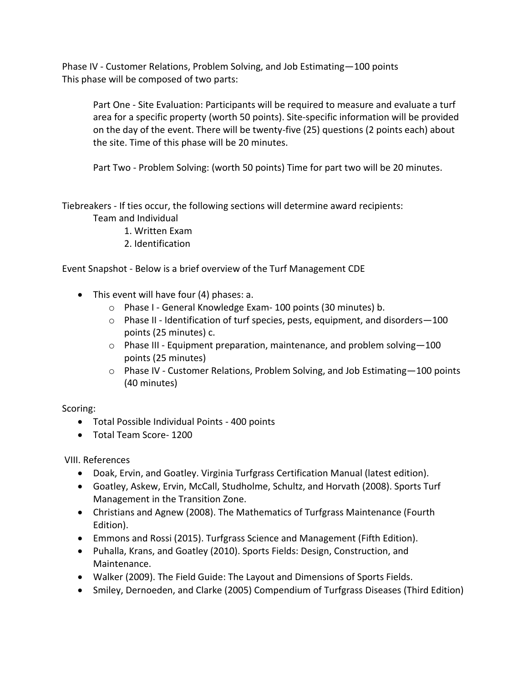Phase IV - Customer Relations, Problem Solving, and Job Estimating—100 points This phase will be composed of two parts:

Part One - Site Evaluation: Participants will be required to measure and evaluate a turf area for a specific property (worth 50 points). Site-specific information will be provided on the day of the event. There will be twenty-five (25) questions (2 points each) about the site. Time of this phase will be 20 minutes.

Part Two - Problem Solving: (worth 50 points) Time for part two will be 20 minutes.

Tiebreakers - If ties occur, the following sections will determine award recipients:

Team and Individual

- 1. Written Exam
- 2. Identification

Event Snapshot - Below is a brief overview of the Turf Management CDE

- This event will have four (4) phases: a.
	- o Phase I General Knowledge Exam- 100 points (30 minutes) b.
	- $\circ$  Phase II Identification of turf species, pests, equipment, and disorders 100 points (25 minutes) c.
	- $\circ$  Phase III Equipment preparation, maintenance, and problem solving -100 points (25 minutes)
	- $\circ$  Phase IV Customer Relations, Problem Solving, and Job Estimating -100 points (40 minutes)

Scoring:

- Total Possible Individual Points 400 points
- Total Team Score- 1200

VIII. References

- Doak, Ervin, and Goatley. Virginia Turfgrass Certification Manual (latest edition).
- Goatley, Askew, Ervin, McCall, Studholme, Schultz, and Horvath (2008). Sports Turf Management in the Transition Zone.
- Christians and Agnew (2008). The Mathematics of Turfgrass Maintenance (Fourth Edition).
- Emmons and Rossi (2015). Turfgrass Science and Management (Fifth Edition).
- Puhalla, Krans, and Goatley (2010). Sports Fields: Design, Construction, and Maintenance.
- Walker (2009). The Field Guide: The Layout and Dimensions of Sports Fields.
- Smiley, Dernoeden, and Clarke (2005) Compendium of Turfgrass Diseases (Third Edition)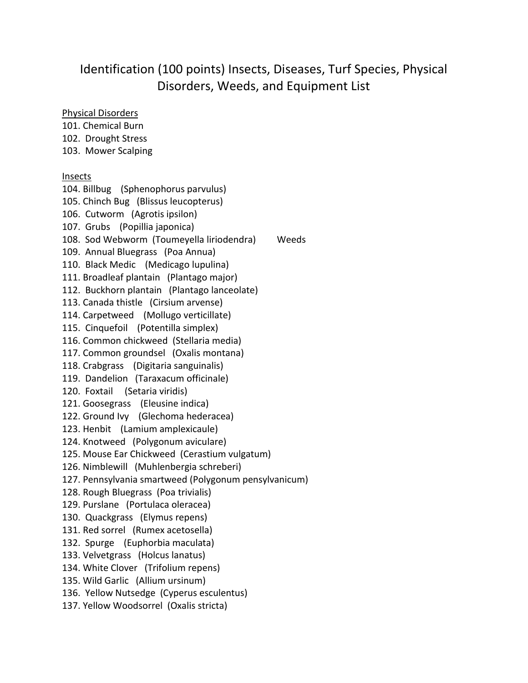## Identification (100 points) Insects, Diseases, Turf Species, Physical Disorders, Weeds, and Equipment List

#### Physical Disorders

101. Chemical Burn

102. Drought Stress

103. Mower Scalping

#### Insects

104. Billbug (Sphenophorus parvulus) 105. Chinch Bug (Blissus leucopterus) 106. Cutworm (Agrotis ipsilon) 107. Grubs (Popillia japonica) 108. Sod Webworm (Toumeyella liriodendra) Weeds 109. Annual Bluegrass (Poa Annua) 110. Black Medic (Medicago lupulina) 111. Broadleaf plantain (Plantago major) 112. Buckhorn plantain (Plantago lanceolate) 113. Canada thistle (Cirsium arvense) 114. Carpetweed (Mollugo verticillate) 115. Cinquefoil (Potentilla simplex) 116. Common chickweed (Stellaria media) 117. Common groundsel (Oxalis montana) 118. Crabgrass (Digitaria sanguinalis) 119. Dandelion (Taraxacum officinale) 120. Foxtail (Setaria viridis) 121. Goosegrass (Eleusine indica) 122. Ground Ivy (Glechoma hederacea) 123. Henbit (Lamium amplexicaule) 124. Knotweed (Polygonum aviculare) 125. Mouse Ear Chickweed (Cerastium vulgatum) 126. Nimblewill (Muhlenbergia schreberi) 127. Pennsylvania smartweed (Polygonum pensylvanicum) 128. Rough Bluegrass (Poa trivialis) 129. Purslane (Portulaca oleracea) 130. Quackgrass (Elymus repens) 131. Red sorrel (Rumex acetosella) 132. Spurge (Euphorbia maculata) 133. Velvetgrass (Holcus lanatus) 134. White Clover (Trifolium repens) 135. Wild Garlic (Allium ursinum) 136. Yellow Nutsedge (Cyperus esculentus) 137. Yellow Woodsorrel (Oxalis stricta)